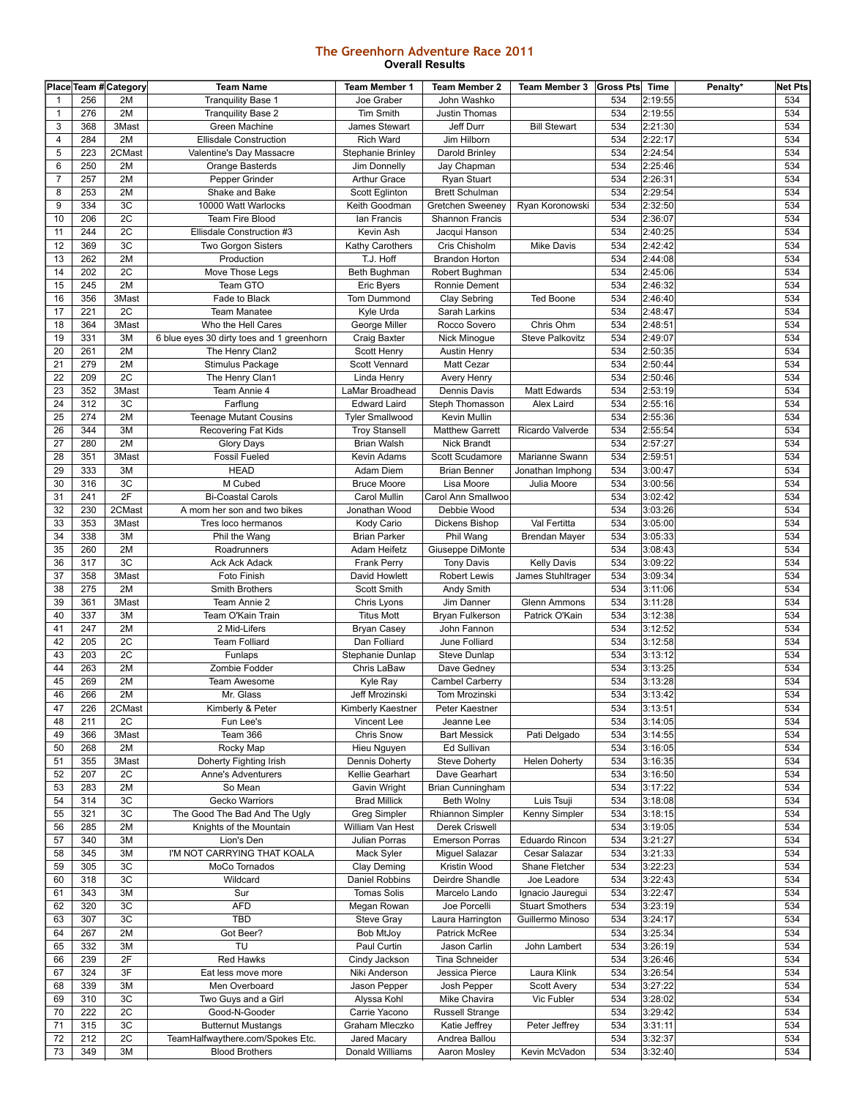## **The Greenhorn Adventure Race 2011 Overall Results**

|                |     | Place Team # Category | <b>Team Name</b>                          | <b>Team Member 1</b>     | <b>Team Member 2</b>    | Team Member 3 Gross Pts |     | Time    | Penalty* | <b>Net Pts</b> |
|----------------|-----|-----------------------|-------------------------------------------|--------------------------|-------------------------|-------------------------|-----|---------|----------|----------------|
| $\mathbf{1}$   | 256 | 2M                    | <b>Tranquility Base 1</b>                 | Joe Graber               | John Washko             |                         | 534 | 2:19:55 |          | 534            |
| $\mathbf{1}$   | 276 | 2M                    | <b>Tranquility Base 2</b>                 | Tim Smith                | Justin Thomas           |                         | 534 | 2:19:55 |          | 534            |
| 3              | 368 | 3Mast                 | Green Machine                             | James Stewart            | Jeff Durr               | <b>Bill Stewart</b>     | 534 | 2:21:30 |          | 534            |
| 4              | 284 | 2M                    | <b>Ellisdale Construction</b>             | <b>Rich Ward</b>         | Jim Hilborn             |                         | 534 | 2:22:17 |          | 534            |
| 5              | 223 | 2CMast                | Valentine's Day Massacre                  | <b>Stephanie Brinley</b> | Darold Brinley          |                         | 534 | 2:24:54 |          | 534            |
| 6              | 250 | 2M                    | Orange Basterds                           | Jim Donnelly             | Jay Chapman             |                         | 534 | 2:25:46 |          | 534            |
|                |     |                       |                                           |                          |                         |                         |     |         |          |                |
| $\overline{7}$ | 257 | 2M                    | Pepper Grinder                            | <b>Arthur Grace</b>      | Ryan Stuart             |                         | 534 | 2:26:31 |          | 534            |
| 8              | 253 | 2M                    | Shake and Bake                            | Scott Eglinton           | <b>Brett Schulman</b>   |                         | 534 | 2:29:54 |          | 534            |
| 9              | 334 | 3C                    | 10000 Watt Warlocks                       | Keith Goodman            | Gretchen Sweeney        | Ryan Koronowski         | 534 | 2:32:50 |          | 534            |
| 10             | 206 | 2C                    | <b>Team Fire Blood</b>                    | Ian Francis              | Shannon Francis         |                         | 534 | 2:36:07 |          | 534            |
| 11             | 244 | 2C                    | Ellisdale Construction #3                 | Kevin Ash                | Jacqui Hanson           |                         | 534 | 2:40:25 |          | 534            |
| 12             | 369 | 3C                    | Two Gorgon Sisters                        | Kathy Carothers          | Cris Chisholm           | <b>Mike Davis</b>       | 534 | 2:42:42 |          | 534            |
| 13             | 262 | 2M                    | Production                                | T.J. Hoff                | <b>Brandon Horton</b>   |                         | 534 | 2:44:08 |          | 534            |
| 14             | 202 | 2C                    | Move Those Legs                           | Beth Bughman             | Robert Bughman          |                         | 534 | 2:45:06 |          | 534            |
| 15             | 245 | 2M                    | Team GTO                                  | <b>Eric Byers</b>        | Ronnie Dement           |                         | 534 | 2:46:32 |          | 534            |
| 16             | 356 | 3Mast                 | Fade to Black                             | Tom Dummond              | Clay Sebring            | <b>Ted Boone</b>        | 534 | 2:46:40 |          | 534            |
| 17             | 221 | 2C                    | <b>Team Manatee</b>                       | Kyle Urda                | Sarah Larkins           |                         | 534 | 2:48:47 |          | 534            |
| 18             | 364 | 3Mast                 | Who the Hell Cares                        | George Miller            | Rocco Sovero            | Chris Ohm               | 534 | 2:48:51 |          | 534            |
| 19             | 331 | 3M                    |                                           |                          |                         | <b>Steve Palkovitz</b>  | 534 | 2:49:07 |          | 534            |
|                |     |                       | 6 blue eyes 30 dirty toes and 1 greenhorn | Craig Baxter             | Nick Minogue            |                         |     |         |          |                |
| 20             | 261 | 2M                    | The Henry Clan2                           | Scott Henry              | Austin Henry            |                         | 534 | 2:50:35 |          | 534            |
| 21             | 279 | 2M                    | Stimulus Package                          | Scott Vennard            | <b>Matt Cezar</b>       |                         | 534 | 2:50:44 |          | 534            |
| 22             | 209 | 2C                    | The Henry Clan1                           | Linda Henry              | Avery Henry             |                         | 534 | 2:50:46 |          | 534            |
| 23             | 352 | 3Mast                 | Team Annie 4                              | LaMar Broadhead          | Dennis Davis            | <b>Matt Edwards</b>     | 534 | 2:53:19 |          | 534            |
| 24             | 312 | 3C                    | Farflung                                  | <b>Edward Laird</b>      | Steph Thomasson         | Alex Laird              | 534 | 2:55:16 |          | 534            |
| 25             | 274 | 2M                    | <b>Teenage Mutant Cousins</b>             | <b>Tyler Smallwood</b>   | Kevin Mullin            |                         | 534 | 2:55:36 |          | 534            |
| 26             | 344 | 3M                    | Recovering Fat Kids                       | <b>Troy Stansell</b>     | <b>Matthew Garrett</b>  | Ricardo Valverde        | 534 | 2:55:54 |          | 534            |
| 27             | 280 | 2M                    | Glory Days                                | <b>Brian Walsh</b>       | Nick Brandt             |                         | 534 | 2:57:27 |          | 534            |
| 28             | 351 | 3Mast                 | <b>Fossil Fueled</b>                      | Kevin Adams              | Scott Scudamore         | Marianne Swann          | 534 | 2:59:51 |          | 534            |
| 29             | 333 | 3M                    | <b>HEAD</b>                               | Adam Diem                | <b>Brian Benner</b>     | Jonathan Imphong        | 534 | 3:00:47 |          | 534            |
| 30             | 316 | 3C                    | M Cubed                                   | <b>Bruce Moore</b>       | Lisa Moore              | Julia Moore             | 534 | 3:00:56 |          | 534            |
|                |     | 2F                    |                                           |                          |                         |                         |     |         |          |                |
| 31             | 241 |                       | <b>Bi-Coastal Carols</b>                  | Carol Mullin             | Carol Ann Smallwoo      |                         | 534 | 3:02:42 |          | 534            |
| 32             | 230 | 2CMast                | A mom her son and two bikes               | Jonathan Wood            | Debbie Wood             |                         | 534 | 3:03:26 |          | 534            |
| 33             | 353 | 3Mast                 | Tres loco hermanos                        | Kody Cario               | Dickens Bishop          | Val Fertitta            | 534 | 3:05:00 |          | 534            |
| 34             | 338 | 3M                    | Phil the Wang                             | <b>Brian Parker</b>      | Phil Wang               | Brendan Mayer           | 534 | 3:05:33 |          | 534            |
| 35             | 260 | 2M                    | Roadrunners                               | Adam Heifetz             | Giuseppe DiMonte        |                         | 534 | 3:08:43 |          | 534            |
| 36             | 317 | 3C                    | <b>Ack Ack Adack</b>                      | Frank Perry              | <b>Tony Davis</b>       | <b>Kelly Davis</b>      | 534 | 3:09:22 |          | 534            |
| 37             | 358 | 3Mast                 | Foto Finish                               | David Howlett            | <b>Robert Lewis</b>     | James Stuhltrager       | 534 | 3:09:34 |          | 534            |
| 38             | 275 | 2M                    | Smith Brothers                            | Scott Smith              | Andy Smith              |                         | 534 | 3:11:06 |          | 534            |
| 39             | 361 | 3Mast                 | Team Annie 2                              | Chris Lyons              | Jim Danner              | <b>Glenn Ammons</b>     | 534 | 3:11:28 |          | 534            |
| 40             | 337 | 3M                    | Team O'Kain Train                         | <b>Titus Mott</b>        | Bryan Fulkerson         | Patrick O'Kain          | 534 | 3:12:38 |          | 534            |
| 41             | 247 | 2M                    | 2 Mid-Lifers                              | <b>Bryan Casey</b>       | John Fannon             |                         | 534 | 3:12:52 |          | 534            |
| 42             | 205 | 2C                    | <b>Team Folliard</b>                      | Dan Folliard             | June Folliard           |                         | 534 | 3:12:58 |          | 534            |
| 43             | 203 | 2C                    | Funlaps                                   | Stephanie Dunlap         | Steve Dunlap            |                         | 534 | 3:13:12 |          | 534            |
| 44             | 263 | 2M                    |                                           |                          |                         |                         | 534 | 3:13:25 |          | 534            |
|                |     |                       | Zombie Fodder                             | Chris LaBaw              | Dave Gedney             |                         |     |         |          |                |
| 45             | 269 | 2M                    | Team Awesome                              | Kyle Ray                 | Cambel Carberry         |                         | 534 | 3:13:28 |          | 534            |
| 46             | 266 | 2M                    | Mr. Glass                                 | Jeff Mrozinski           | Tom Mrozinski           |                         | 534 | 3:13:42 |          | 534            |
| 47             | 226 | 2CMast                | Kimberly & Peter                          | Kimberly Kaestner        | Peter Kaestner          |                         | 534 | 3:13:51 |          | 534            |
| 48             | 211 | 2C                    | Fun Lee's                                 | Vincent Lee              | Jeanne Lee              |                         | 534 | 3:14:05 |          | 534            |
| 49             | 366 | 3Mast                 | Team 366                                  | Chris Snow               | <b>Bart Messick</b>     | Pati Delgado            | 534 | 3:14:55 |          | 534            |
| 50             | 268 | 2M                    | Rocky Map                                 | Hieu Nguyen              | Ed Sullivan             |                         | 534 | 3:16:05 |          | 534            |
| 51             | 355 | 3Mast                 | Doherty Fighting Irish                    | Dennis Doherty           | <b>Steve Doherty</b>    | <b>Helen Doherty</b>    | 534 | 3:16:35 |          | 534            |
| 52             | 207 | 2C                    | Anne's Adventurers                        | Kellie Gearhart          | Dave Gearhart           |                         | 534 | 3:16:50 |          | 534            |
| 53             | 283 | 2M                    | So Mean                                   | Gavin Wright             | Brian Cunningham        |                         | 534 | 3:17:22 |          | 534            |
| 54             | 314 | 3C                    | Gecko Warriors                            | <b>Brad Millick</b>      | <b>Beth Wolny</b>       | Luis Tsuji              | 534 | 3:18:08 |          | 534            |
| 55             | 321 | 3C                    | The Good The Bad And The Ugly             | <b>Greg Simpler</b>      | <b>Rhiannon Simpler</b> | Kenny Simpler           | 534 | 3:18:15 |          | 534            |
| 56             | 285 | 2M                    | Knights of the Mountain                   | William Van Hest         | Derek Criswell          |                         | 534 | 3:19:05 |          | 534            |
|                |     |                       |                                           |                          |                         |                         |     |         |          |                |
| 57             | 340 | 3M                    | Lion's Den                                | Julian Porras            | <b>Emerson Porras</b>   | Eduardo Rincon          | 534 | 3:21:27 |          | 534            |
| 58             | 345 | 3M                    | I'M NOT CARRYING THAT KOALA               | Mack Syler               | Miguel Salazar          | Cesar Salazar           | 534 | 3:21:33 |          | 534            |
| 59             | 305 | 3C                    | MoCo Tornados                             | Clay Deming              | Kristin Wood            | Shane Fletcher          | 534 | 3:22:23 |          | 534            |
| 60             | 318 | 3C                    | Wildcard                                  | Daniel Robbins           | Deirdre Shandle         | Joe Leadore             | 534 | 3:22:43 |          | 534            |
| 61             | 343 | 3M                    | Sur                                       | <b>Tomas Solis</b>       | Marcelo Lando           | Ignacio Jauregui        | 534 | 3:22:47 |          | 534            |
| 62             | 320 | 3C                    | AFD                                       | Megan Rowan              | Joe Porcelli            | <b>Stuart Smothers</b>  | 534 | 3:23:19 |          | 534            |
| 63             | 307 | 3C                    | <b>TBD</b>                                | Steve Gray               | Laura Harrington        | Guillermo Minoso        | 534 | 3:24:17 |          | 534            |
| 64             | 267 | 2M                    | Got Beer?                                 | <b>Bob MtJoy</b>         | Patrick McRee           |                         | 534 | 3:25:34 |          | 534            |
| 65             | 332 | 3M                    | TU                                        | Paul Curtin              | Jason Carlin            | John Lambert            | 534 | 3:26:19 |          | 534            |
| 66             | 239 | 2F                    | <b>Red Hawks</b>                          | Cindy Jackson            | Tina Schneider          |                         | 534 | 3:26:46 |          | 534            |
| 67             | 324 | 3F                    | Eat less move more                        | Niki Anderson            | Jessica Pierce          | Laura Klink             | 534 | 3:26:54 |          | 534            |
| 68             | 339 | 3M                    | Men Overboard                             | Jason Pepper             | Josh Pepper             | Scott Avery             | 534 | 3:27:22 |          | 534            |
| 69             | 310 | 3C                    | Two Guys and a Girl                       | Alyssa Kohl              | Mike Chavira            | Vic Fubler              | 534 | 3:28:02 |          | 534            |
| 70             | 222 | 2C                    | Good-N-Gooder                             | Carrie Yacono            | Russell Strange         |                         | 534 | 3:29:42 |          | 534            |
| 71             | 315 | 3C                    | <b>Butternut Mustangs</b>                 | Graham Mleczko           | Katie Jeffrey           | Peter Jeffrey           | 534 | 3:31:11 |          | 534            |
|                |     |                       |                                           |                          |                         |                         |     |         |          |                |
| 72             | 212 | 2C                    | TeamHalfwaythere.com/Spokes Etc.          | Jared Macary             | Andrea Ballou           |                         | 534 | 3:32:37 |          | 534            |
| 73             | 349 | 3M                    | <b>Blood Brothers</b>                     | Donald Williams          | Aaron Mosley            | Kevin McVadon           | 534 | 3:32:40 |          | 534            |